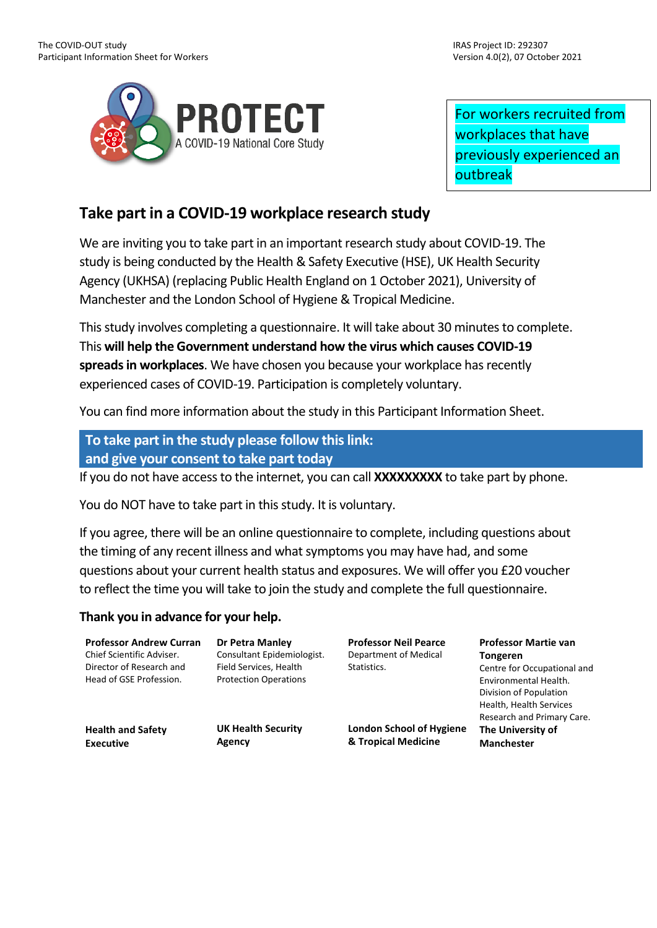

For workers recruited from workplaces that have previously experienced an outbreak

# **Take part in a COVID-19 workplace research study**

We are inviting you to take part in an important research study about COVID-19. The study is being conducted by the Health & Safety Executive (HSE), UK Health Security Agency (UKHSA) (replacing Public Health England on 1 October 2021), University of Manchester and the London School of Hygiene & Tropical Medicine.

This study involves completing a questionnaire. It will take about 30 minutes to complete. This **will help the Government understand how the virus which causes COVID-19 spreads in workplaces**. We have chosen you because your workplace has recently experienced cases of COVID-19. Participation is completely voluntary.

You can find more information about the study in this Participant Information Sheet.

# **To take part in the study please follow this link: and give your consent to take part today**

If you do not have access to the internet, you can call **XXXXXXXXX** to take part by phone.

You do NOT have to take part in this study. It is voluntary.

If you agree, there will be an online questionnaire to complete, including questions about the timing of any recent illness and what symptoms you may have had, and some questions about your current health status and exposures. We will offer you £20 voucher to reflect the time you will take to join the study and complete the full questionnaire.

## **Thank you in advance for your help.**

**Professor Andrew Curran** Chief Scientific Adviser. Director of Research and Head of GSE Profession.

**Health and Safety** 

**Executive**

**Dr Petra Manley** Consultant Epidemiologist. Field Services, Health Protection Operations

**UK Health Security** 

**Agency**

**Professor Neil Pearce** Department of Medical Statistics.

**Professor Martie van Tongeren** Centre for Occupational and Environmental Health. Division of Population Health, Health Services Research and Primary Care. **The University of Manchester**

**London School of Hygiene & Tropical Medicine**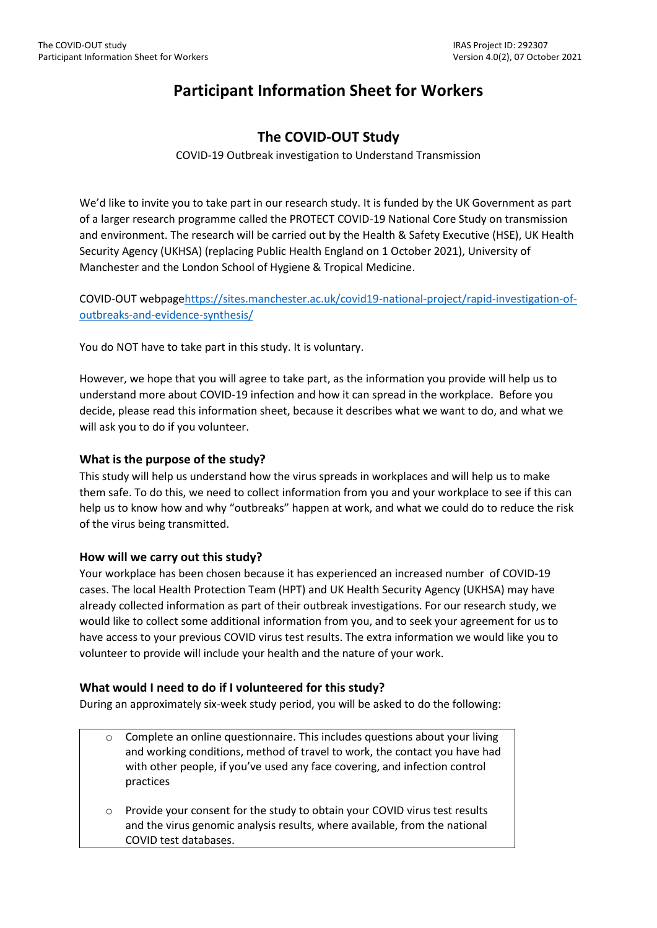# **Participant Information Sheet for Workers**

## **The COVID-OUT Study**

COVID-19 Outbreak investigation to Understand Transmission

We'd like to invite you to take part in our research study. It is funded by the UK Government as part of a larger research programme called the PROTECT COVID-19 National Core Study on transmission and environment. The research will be carried out by the Health & Safety Executive (HSE), UK Health Security Agency (UKHSA) (replacing Public Health England on 1 October 2021), University of Manchester and the London School of Hygiene & Tropical Medicine.

COVID-OUT webpag[ehttps://sites.manchester.ac.uk/covid19-national-project/rapid-investigation-of](https://sites.manchester.ac.uk/covid19-national-project/rapid-investigation-of-outbreaks-and-evidence-synthesis/)[outbreaks-and-evidence-synthesis/](https://sites.manchester.ac.uk/covid19-national-project/rapid-investigation-of-outbreaks-and-evidence-synthesis/)

You do NOT have to take part in this study. It is voluntary.

However, we hope that you will agree to take part, as the information you provide will help us to understand more about COVID-19 infection and how it can spread in the workplace. Before you decide, please read this information sheet, because it describes what we want to do, and what we will ask you to do if you volunteer.

### **What is the purpose of the study?**

This study will help us understand how the virus spreads in workplaces and will help us to make them safe. To do this, we need to collect information from you and your workplace to see if this can help us to know how and why "outbreaks" happen at work, and what we could do to reduce the risk of the virus being transmitted.

#### **How will we carry out this study?**

Your workplace has been chosen because it has experienced an increased number of COVID-19 cases. The local Health Protection Team (HPT) and UK Health Security Agency (UKHSA) may have already collected information as part of their outbreak investigations. For our research study, we would like to collect some additional information from you, and to seek your agreement for us to have access to your previous COVID virus test results. The extra information we would like you to volunteer to provide will include your health and the nature of your work.

## **What would I need to do if I volunteered for this study?**

During an approximately six-week study period, you will be asked to do the following:

- o Complete an online questionnaire. This includes questions about your living and working conditions, method of travel to work, the contact you have had with other people, if you've used any face covering, and infection control practices
- o Provide your consent for the study to obtain your COVID virus test results and the virus genomic analysis results, where available, from the national COVID test databases.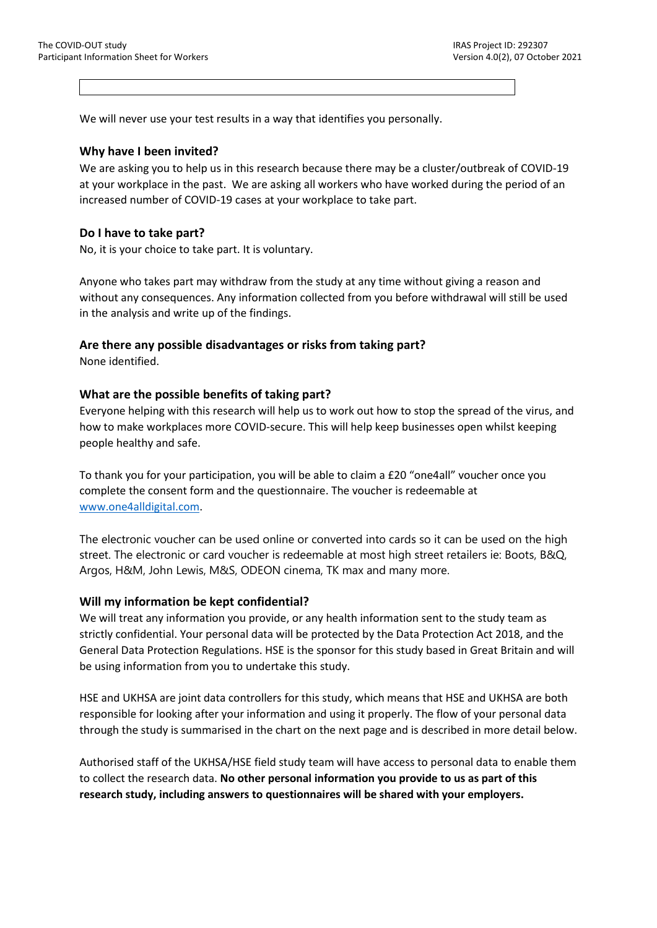We will never use your test results in a way that identifies you personally.

#### **Why have I been invited?**

We are asking you to help us in this research because there may be a cluster/outbreak of COVID-19 at your workplace in the past. We are asking all workers who have worked during the period of an increased number of COVID-19 cases at your workplace to take part.

#### **Do I have to take part?**

No, it is your choice to take part. It is voluntary.

Anyone who takes part may withdraw from the study at any time without giving a reason and without any consequences. Any information collected from you before withdrawal will still be used in the analysis and write up of the findings.

### **Are there any possible disadvantages or risks from taking part?**

None identified.

#### **What are the possible benefits of taking part?**

Everyone helping with this research will help us to work out how to stop the spread of the virus, and how to make workplaces more COVID-secure. This will help keep businesses open whilst keeping people healthy and safe.

To thank you for your participation, you will be able to claim a £20 "one4all" voucher once you complete the consent form and the questionnaire. The voucher is redeemable at [www.one4alldigital.com.](http://www.one4alldigital.com/)

The electronic voucher can be used online or converted into cards so it can be used on the high street. The electronic or card voucher is redeemable at most high street retailers ie: Boots, B&Q, Argos, H&M, John Lewis, M&S, ODEON cinema, TK max and many more.

#### **Will my information be kept confidential?**

We will treat any information you provide, or any health information sent to the study team as strictly confidential. Your personal data will be protected by the Data Protection Act 2018, and the General Data Protection Regulations. HSE is the sponsor for this study based in Great Britain and will be using information from you to undertake this study.

HSE and UKHSA are joint data controllers for this study, which means that HSE and UKHSA are both responsible for looking after your information and using it properly. The flow of your personal data through the study is summarised in the chart on the next page and is described in more detail below.

Authorised staff of the UKHSA/HSE field study team will have access to personal data to enable them to collect the research data. **No other personal information you provide to us as part of this research study, including answers to questionnaires will be shared with your employers.**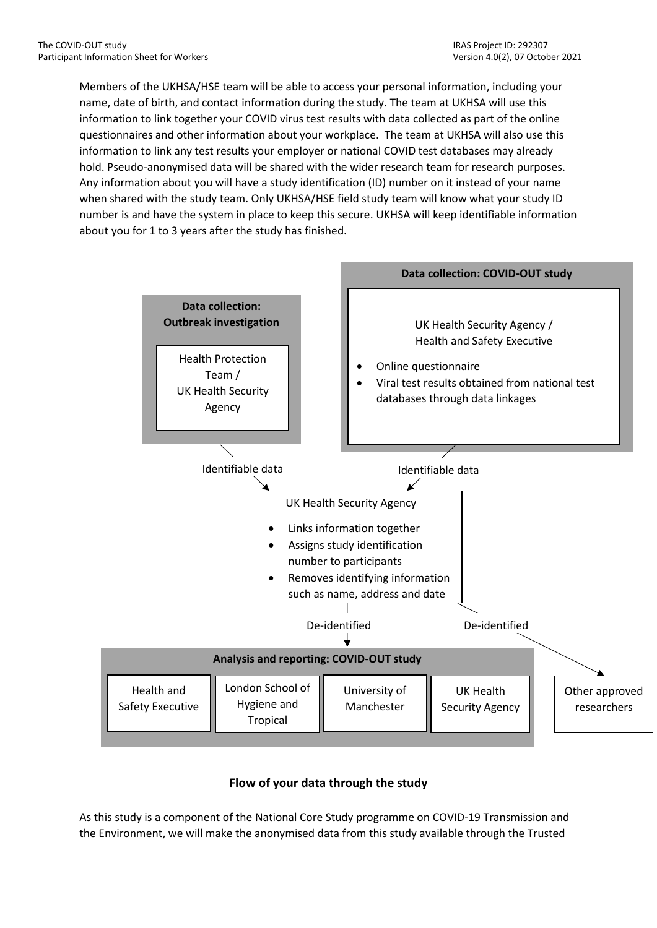Members of the UKHSA/HSE team will be able to access your personal information, including your name, date of birth, and contact information during the study. The team at UKHSA will use this information to link together your COVID virus test results with data collected as part of the online questionnaires and other information about your workplace. The team at UKHSA will also use this information to link any test results your employer or national COVID test databases may already hold. Pseudo-anonymised data will be shared with the wider research team for research purposes. Any information about you will have a study identification (ID) number on it instead of your name when shared with the study team. Only UKHSA/HSE field study team will know what your study ID number is and have the system in place to keep this secure. UKHSA will keep identifiable information about you for 1 to 3 years after the study has finished.



## **Flow of your data through the study**

As this study is a component of the National Core Study programme on COVID-19 Transmission and the Environment, we will make the anonymised data from this study available through the Trusted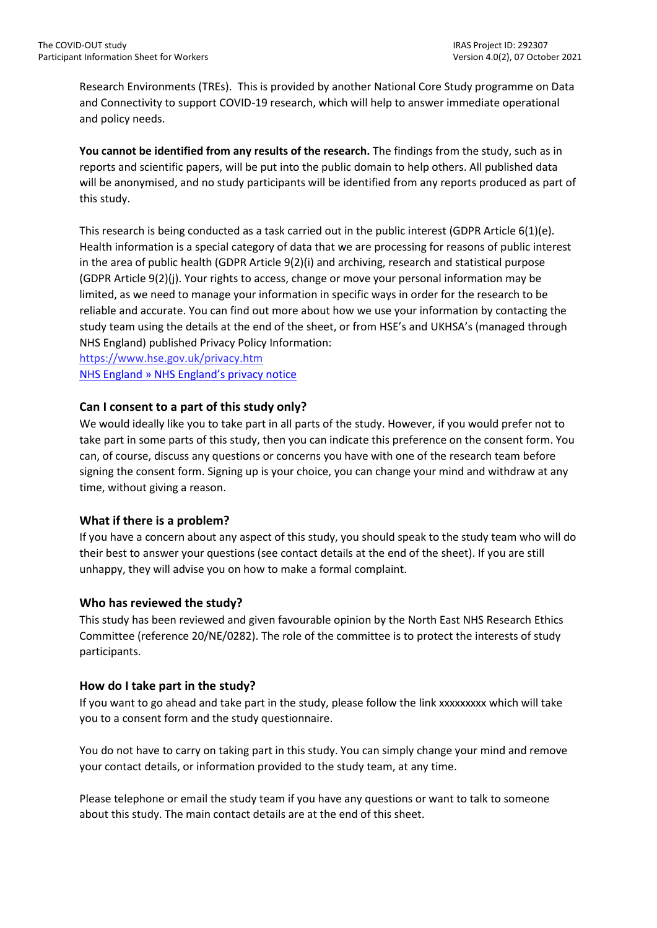Research Environments (TREs). This is provided by another National Core Study programme on Data and Connectivity to support COVID-19 research, which will help to answer immediate operational and policy needs.

**You cannot be identified from any results of the research.** The findings from the study, such as in reports and scientific papers, will be put into the public domain to help others. All published data will be anonymised, and no study participants will be identified from any reports produced as part of this study.

This research is being conducted as a task carried out in the public interest (GDPR Article 6(1)(e). Health information is a special category of data that we are processing for reasons of public interest in the area of public health (GDPR Article 9(2)(i) and archiving, research and statistical purpose (GDPR Article 9(2)(j). Your rights to access, change or move your personal information may be limited, as we need to manage your information in specific ways in order for the research to be reliable and accurate. You can find out more about how we use your information by contacting the study team using the details at the end of the sheet, or from HSE's and UKHSA's (managed through NHS England) published Privacy Policy Information:

<https://www.hse.gov.uk/privacy.htm> [NHS England » NHS England's privacy notice](https://www.england.nhs.uk/contact-us/privacy-notice/)

#### **Can I consent to a part of this study only?**

We would ideally like you to take part in all parts of the study. However, if you would prefer not to take part in some parts of this study, then you can indicate this preference on the consent form. You can, of course, discuss any questions or concerns you have with one of the research team before signing the consent form. Signing up is your choice, you can change your mind and withdraw at any time, without giving a reason.

#### **What if there is a problem?**

If you have a concern about any aspect of this study, you should speak to the study team who will do their best to answer your questions (see contact details at the end of the sheet). If you are still unhappy, they will advise you on how to make a formal complaint.

#### **Who has reviewed the study?**

This study has been reviewed and given favourable opinion by the North East NHS Research Ethics Committee (reference 20/NE/0282). The role of the committee is to protect the interests of study participants.

#### **How do I take part in the study?**

If you want to go ahead and take part in the study, please follow the link xxxxxxxxx which will take you to a consent form and the study questionnaire.

You do not have to carry on taking part in this study. You can simply change your mind and remove your contact details, or information provided to the study team, at any time.

Please telephone or email the study team if you have any questions or want to talk to someone about this study. The main contact details are at the end of this sheet.